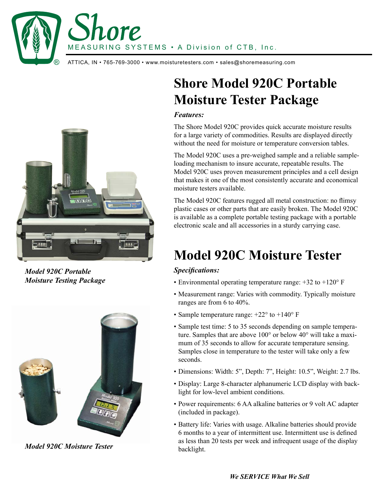MEASURING SYSTEMS • A Division of CTB, Inc . MEASURING SYSTEMS • A Division of CTB, Inc .

 $\textcircled{R}$   $\;\;$  ATTICA, IN • 765-769-3000 • www.moisturetesters.com • sales@shoremeasuring.com

Lore



*Model 920C Portable Moisture Testing Package*



*Model 920C Moisture Tester*

# **Shore Model 920C Portable Moisture Tester Package**

#### *Features:*

The Shore Model 920C provides quick accurate moisture results for a large variety of commodities. Results are displayed directly without the need for moisture or temperature conversion tables.

The Model 920C uses a pre-weighed sample and a reliable sampleloading mechanism to insure accurate, repeatable results. The Model 920C uses proven measurement principles and a cell design that makes it one of the most consistently accurate and economical moisture testers available.

The Model 920C features rugged all metal construction: no flimsy plastic cases or other parts that are easily broken. The Model 920C is available as a complete portable testing package with a portable electronic scale and all accessories in a sturdy carrying case.

## **Model 920C Moisture Tester**

### *Specifications:*

- Environmental operating temperature range: +32 to +120° F
- Measurement range: Varies with commodity. Typically moisture ranges are from 6 to 40%.
- Sample temperature range:  $+22^{\circ}$  to  $+140^{\circ}$  F
- Sample test time: 5 to 35 seconds depending on sample temperature. Samples that are above 100° or below 40° will take a maximum of 35 seconds to allow for accurate temperature sensing. Samples close in temperature to the tester will take only a few seconds.
- Dimensions: Width: 5", Depth: 7", Height: 10.5", Weight: 2.7 lbs.
- Display: Large 8-character alphanumeric LCD display with backlight for low-level ambient conditions.
- Power requirements: 6 AA alkaline batteries or 9 volt AC adapter (included in package).
- Battery life: Varies with usage. Alkaline batteries should provide 6 months to a year of intermittent use. Intermittent use is defined as less than 20 tests per week and infrequent usage of the display backlight.